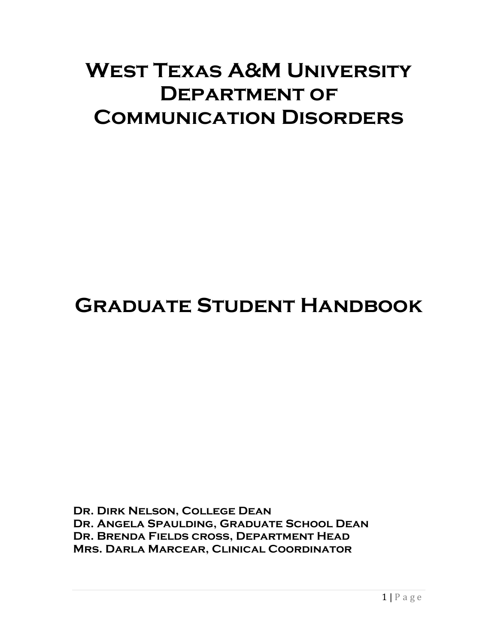# **West Texas A&M University Department of Communication Disorders**

# **Graduate Student Handbook**

**Dr. Dirk Nelson, College Dean Dr. Angela Spaulding, Graduate School Dean Dr. Brenda Fields cross, Department Head Mrs. Darla Marcear, Clinical Coordinator**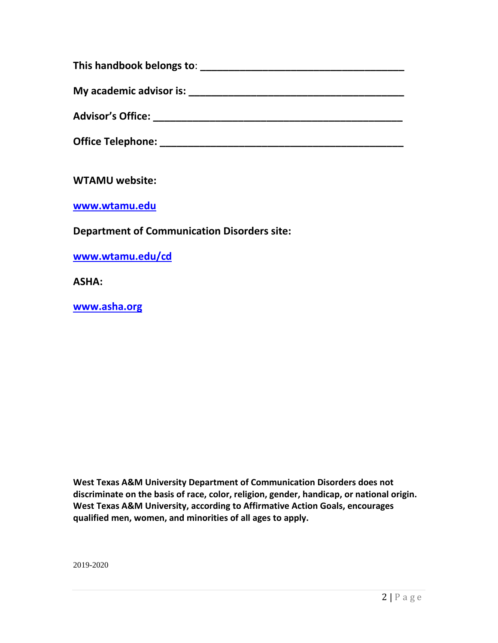| This handbook belongs to: |  |
|---------------------------|--|
| My academic advisor is:   |  |
| <b>Advisor's Office:</b>  |  |
| <b>Office Telephone:</b>  |  |

**WTAMU website:**

**[www.wtamu.edu](http://www.wtamu.edu/)**

#### **Department of Communication Disorders site:**

**[www.wtamu.edu/cd](http://www.wtamu.edu/cd)**

**ASHA:**

**[www.asha.org](http://www.asha.org/)**

**West Texas A&M University Department of Communication Disorders does not discriminate on the basis of race, color, religion, gender, handicap, or national origin. West Texas A&M University, according to Affirmative Action Goals, encourages qualified men, women, and minorities of all ages to apply.** 

2019-2020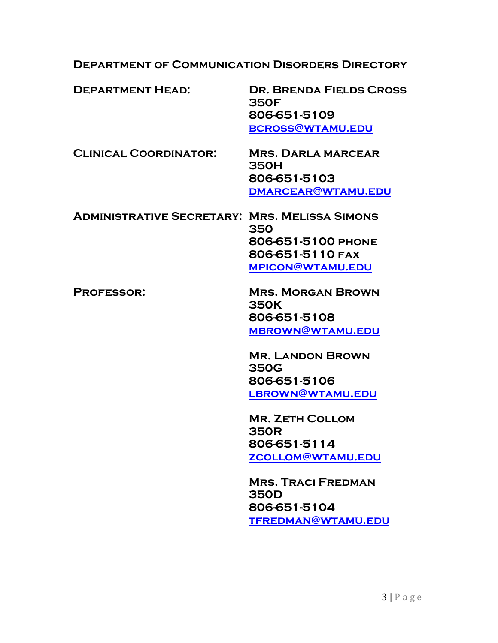**Department of Communication Disorders Directory**

| <b>DEPARTMENT HEAD:</b>                              | <b>DR. BRENDA FIELDS CROSS</b><br><b>350F</b> |
|------------------------------------------------------|-----------------------------------------------|
|                                                      | 806-651-5109                                  |
|                                                      | <b>BCROSS@WTAMU.EDU</b>                       |
| <b>CLINICAL COORDINATOR:</b>                         | <b>MRS. DARLA MARCEAR</b><br><b>350H</b>      |
|                                                      | 806-651-5103                                  |
|                                                      | DMARCEAR@WTAMU.EDU                            |
| <b>ADMINISTRATIVE SECRETARY: MRS. MELISSA SIMONS</b> | 350                                           |
|                                                      | 806-651-5100 PHONE                            |
|                                                      | 806-651-5110 FAX                              |
|                                                      | <b>MPICON@WTAMU.EDU</b>                       |
| <b>PROFESSOR:</b>                                    | <b>MRS. MORGAN BROWN</b><br><b>350K</b>       |
|                                                      | 806-651-5108                                  |
|                                                      | <b>MBROWN@WTAMU.EDU</b>                       |
|                                                      | <b>MR. LANDON BROWN</b><br><b>350G</b>        |
|                                                      | 806-651-5106                                  |
|                                                      | LBROWN@WTAMU.EDU                              |
|                                                      | <b>MR. ZETH COLLOM</b><br><b>350R</b>         |
|                                                      | 806-651-5114                                  |
|                                                      | <b>ZCOLLOM@WTAMU.EDU</b>                      |
|                                                      | <b>MRS. TRACI FREDMAN</b><br><b>350D</b>      |
|                                                      | 806-651-5104                                  |
|                                                      |                                               |
|                                                      | <b>TFREDMAN@WTAMU.EDU</b>                     |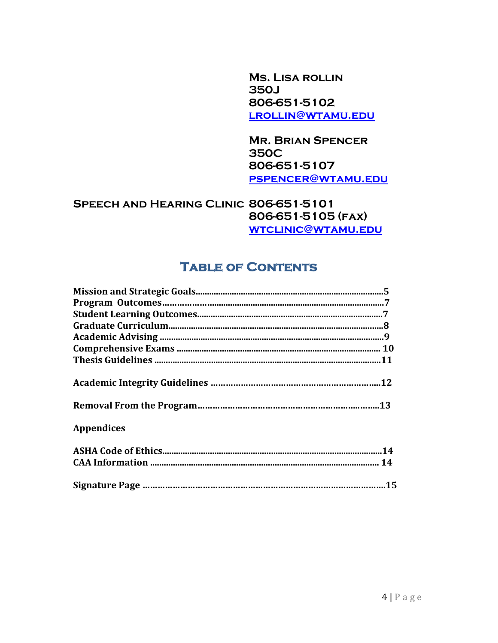**Ms. Lisa rollin 350J 806-651-5102 [lrollin@wtamu.edu](mailto:lrollin@wtamu.edu)**

**Mr. Brian Spencer 350C 806-651-5107 [pspencer@wtamu.edu](mailto:pspencer@wtamu.edu)**

**Speech and Hearing Clinic 806-651-5101 806-651-5105 (fax) [wtclinic@wtamu.edu](mailto:wtclinic@wtamu.edu)**

## **Table of Contents**

| <b>Appendices</b> |
|-------------------|
|                   |
|                   |
|                   |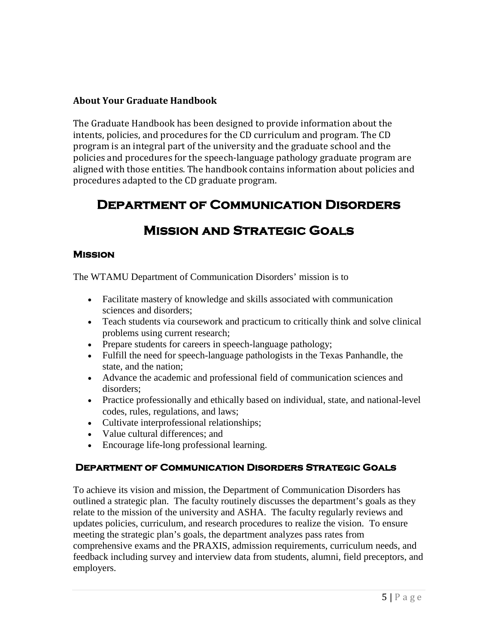#### **About Your Graduate Handbook**

The Graduate Handbook has been designed to provide information about the intents, policies, and procedures for the CD curriculum and program. The CD program is an integral part of the university and the graduate school and the policies and procedures for the speech-language pathology graduate program are aligned with those entities. The handbook contains information about policies and procedures adapted to the CD graduate program.

## **Department of Communication Disorders**

## **Mission and Strategic Goals**

#### **Mission**

The WTAMU Department of Communication Disorders' mission is to

- Facilitate mastery of knowledge and skills associated with communication sciences and disorders;
- Teach students via coursework and practicum to critically think and solve clinical problems using current research;
- Prepare students for careers in speech-language pathology;
- Fulfill the need for speech-language pathologists in the Texas Panhandle, the state, and the nation;
- Advance the academic and professional field of communication sciences and disorders;
- Practice professionally and ethically based on individual, state, and national-level codes, rules, regulations, and laws;
- Cultivate interprofessional relationships;
- Value cultural differences; and
- Encourage life-long professional learning.

#### **Department of Communication Disorders Strategic Goals**

To achieve its vision and mission, the Department of Communication Disorders has outlined a strategic plan. The faculty routinely discusses the department's goals as they relate to the mission of the university and ASHA. The faculty regularly reviews and updates policies, curriculum, and research procedures to realize the vision. To ensure meeting the strategic plan's goals, the department analyzes pass rates from comprehensive exams and the PRAXIS, admission requirements, curriculum needs, and feedback including survey and interview data from students, alumni, field preceptors, and employers.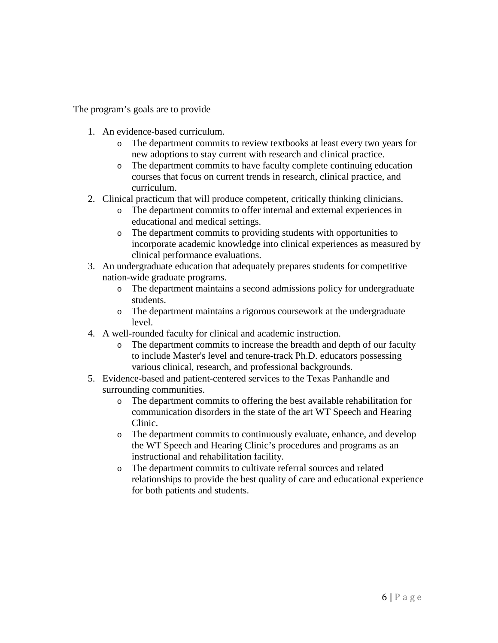The program's goals are to provide

- 1. An evidence-based curriculum.
	- o The department commits to review textbooks at least every two years for new adoptions to stay current with research and clinical practice.
	- o The department commits to have faculty complete continuing education courses that focus on current trends in research, clinical practice, and curriculum.
- 2. Clinical practicum that will produce competent, critically thinking clinicians.
	- o The department commits to offer internal and external experiences in educational and medical settings.
	- o The department commits to providing students with opportunities to incorporate academic knowledge into clinical experiences as measured by clinical performance evaluations.
- 3. An undergraduate education that adequately prepares students for competitive nation-wide graduate programs.
	- o The department maintains a second admissions policy for undergraduate students.
	- o The department maintains a rigorous coursework at the undergraduate level.
- 4. A well-rounded faculty for clinical and academic instruction.
	- o The department commits to increase the breadth and depth of our faculty to include Master's level and tenure-track Ph.D. educators possessing various clinical, research, and professional backgrounds.
- 5. Evidence-based and patient-centered services to the Texas Panhandle and surrounding communities.
	- o The department commits to offering the best available rehabilitation for communication disorders in the state of the art WT Speech and Hearing Clinic.
	- o The department commits to continuously evaluate, enhance, and develop the WT Speech and Hearing Clinic's procedures and programs as an instructional and rehabilitation facility.
	- o The department commits to cultivate referral sources and related relationships to provide the best quality of care and educational experience for both patients and students.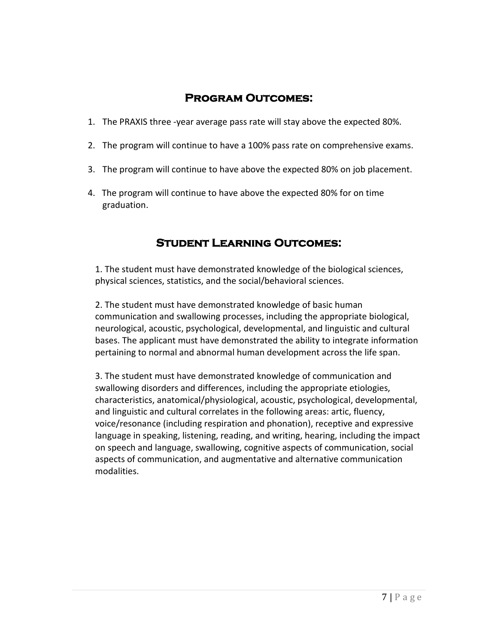## **Program Outcomes:**

- 1. The PRAXIS three -year average pass rate will stay above the expected 80%.
- 2. The program will continue to have a 100% pass rate on comprehensive exams.
- 3. The program will continue to have above the expected 80% on job placement.
- 4. The program will continue to have above the expected 80% for on time graduation.

## **Student Learning Outcomes:**

1. The student must have demonstrated knowledge of the biological sciences, physical sciences, statistics, and the social/behavioral sciences.

2. The student must have demonstrated knowledge of basic human communication and swallowing processes, including the appropriate biological, neurological, acoustic, psychological, developmental, and linguistic and cultural bases. The applicant must have demonstrated the ability to integrate information pertaining to normal and abnormal human development across the life span.

3. The student must have demonstrated knowledge of communication and swallowing disorders and differences, including the appropriate etiologies, characteristics, anatomical/physiological, acoustic, psychological, developmental, and linguistic and cultural correlates in the following areas: artic, fluency, voice/resonance (including respiration and phonation), receptive and expressive language in speaking, listening, reading, and writing, hearing, including the impact on speech and language, swallowing, cognitive aspects of communication, social aspects of communication, and augmentative and alternative communication modalities.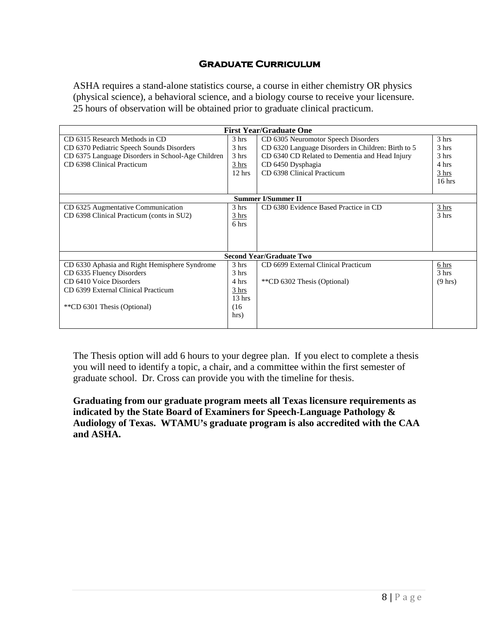#### **Graduate Curriculum**

ASHA requires a stand-alone statistics course, a course in either chemistry OR physics (physical science), a behavioral science, and a biology course to receive your licensure. 25 hours of observation will be obtained prior to graduate clinical practicum.

| <b>First Year/Graduate One</b>                    |                   |                                                    |                   |  |
|---------------------------------------------------|-------------------|----------------------------------------------------|-------------------|--|
| CD 6315 Research Methods in CD                    | 3 hrs             | CD 6305 Neuromotor Speech Disorders                | 3 hrs             |  |
| CD 6370 Pediatric Speech Sounds Disorders         | 3 hrs             | CD 6320 Language Disorders in Children: Birth to 5 | 3 hrs             |  |
| CD 6375 Language Disorders in School-Age Children | 3 hrs             | CD 6340 CD Related to Dementia and Head Injury     | 3 <sub>hrs</sub>  |  |
| CD 6398 Clinical Practicum                        | 3 hrs             | CD 6450 Dysphagia                                  | 4 hrs             |  |
|                                                   | $12$ hrs          | CD 6398 Clinical Practicum                         | 3 <sub>hrs</sub>  |  |
|                                                   |                   |                                                    | $16$ hrs          |  |
|                                                   |                   |                                                    |                   |  |
| <b>Summer I/Summer II</b>                         |                   |                                                    |                   |  |
| CD 6325 Augmentative Communication                | 3 <sub>hrs</sub>  | CD 6380 Evidence Based Practice in CD              | 3 hrs             |  |
| CD 6398 Clinical Practicum (conts in SU2)         | 3 hrs             |                                                    | 3 hrs             |  |
|                                                   | 6 hrs             |                                                    |                   |  |
|                                                   |                   |                                                    |                   |  |
|                                                   |                   |                                                    |                   |  |
|                                                   |                   |                                                    |                   |  |
|                                                   |                   | <b>Second Year/Graduate Two</b>                    |                   |  |
| CD 6330 Aphasia and Right Hemisphere Syndrome     | 3 <sub>hrs</sub>  | CD 6699 External Clinical Practicum                | 6 hrs             |  |
| CD 6335 Fluency Disorders                         | 3 <sub>hrs</sub>  |                                                    | 3 <sub>hrs</sub>  |  |
| CD 6410 Voice Disorders                           | 4 hrs             | **CD 6302 Thesis (Optional)                        | $(9 \text{ hrs})$ |  |
| CD 6399 External Clinical Practicum               | 3 hrs             |                                                    |                   |  |
|                                                   | 13 <sub>hrs</sub> |                                                    |                   |  |
| **CD 6301 Thesis (Optional)                       | (16)              |                                                    |                   |  |
|                                                   | hrs)              |                                                    |                   |  |
|                                                   |                   |                                                    |                   |  |

The Thesis option will add 6 hours to your degree plan. If you elect to complete a thesis you will need to identify a topic, a chair, and a committee within the first semester of graduate school. Dr. Cross can provide you with the timeline for thesis.

#### **Graduating from our graduate program meets all Texas licensure requirements as indicated by the State Board of Examiners for Speech-Language Pathology & Audiology of Texas. WTAMU's graduate program is also accredited with the CAA and ASHA.**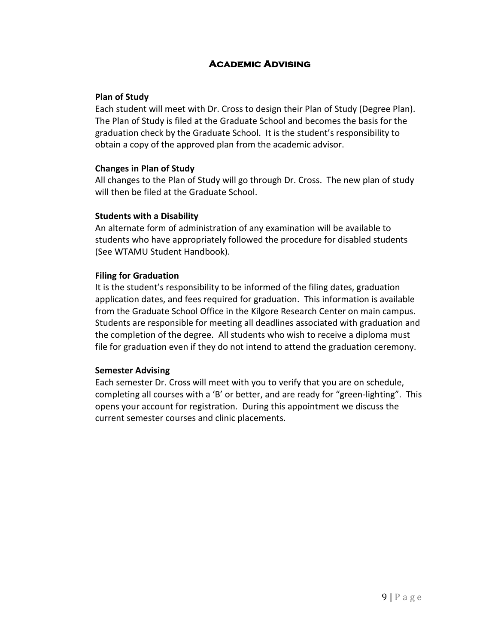#### **Academic Advising**

#### **Plan of Study**

Each student will meet with Dr. Cross to design their Plan of Study (Degree Plan). The Plan of Study is filed at the Graduate School and becomes the basis for the graduation check by the Graduate School. It is the student's responsibility to obtain a copy of the approved plan from the academic advisor.

#### **Changes in Plan of Study**

All changes to the Plan of Study will go through Dr. Cross. The new plan of study will then be filed at the Graduate School.

#### **Students with a Disability**

An alternate form of administration of any examination will be available to students who have appropriately followed the procedure for disabled students (See WTAMU Student Handbook).

#### **Filing for Graduation**

It is the student's responsibility to be informed of the filing dates, graduation application dates, and fees required for graduation. This information is available from the Graduate School Office in the Kilgore Research Center on main campus. Students are responsible for meeting all deadlines associated with graduation and the completion of the degree. All students who wish to receive a diploma must file for graduation even if they do not intend to attend the graduation ceremony.

#### **Semester Advising**

Each semester Dr. Cross will meet with you to verify that you are on schedule, completing all courses with a 'B' or better, and are ready for "green-lighting". This opens your account for registration. During this appointment we discuss the current semester courses and clinic placements.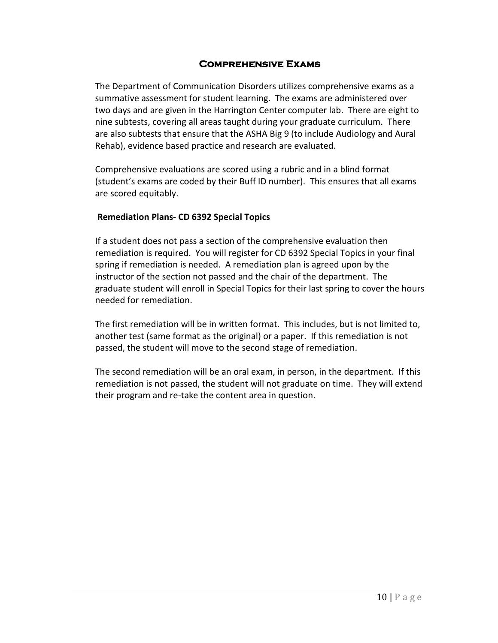#### **Comprehensive Exams**

The Department of Communication Disorders utilizes comprehensive exams as a summative assessment for student learning. The exams are administered over two days and are given in the Harrington Center computer lab. There are eight to nine subtests, covering all areas taught during your graduate curriculum. There are also subtests that ensure that the ASHA Big 9 (to include Audiology and Aural Rehab), evidence based practice and research are evaluated.

Comprehensive evaluations are scored using a rubric and in a blind format (student's exams are coded by their Buff ID number). This ensures that all exams are scored equitably.

#### **Remediation Plans- CD 6392 Special Topics**

If a student does not pass a section of the comprehensive evaluation then remediation is required. You will register for CD 6392 Special Topics in your final spring if remediation is needed. A remediation plan is agreed upon by the instructor of the section not passed and the chair of the department. The graduate student will enroll in Special Topics for their last spring to cover the hours needed for remediation.

The first remediation will be in written format. This includes, but is not limited to, another test (same format as the original) or a paper. If this remediation is not passed, the student will move to the second stage of remediation.

The second remediation will be an oral exam, in person, in the department. If this remediation is not passed, the student will not graduate on time. They will extend their program and re-take the content area in question.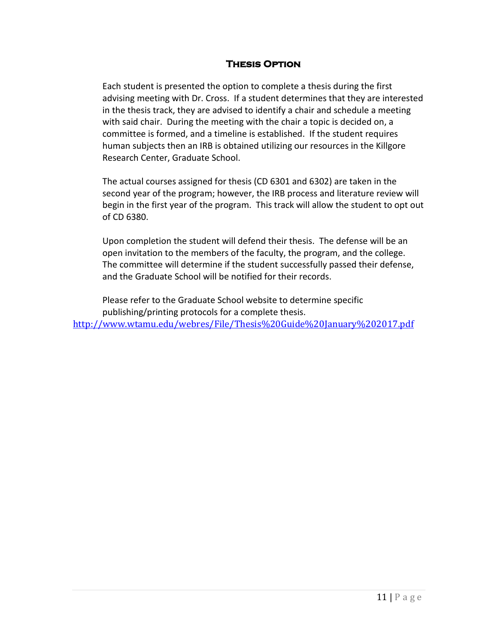#### **Thesis Option**

Each student is presented the option to complete a thesis during the first advising meeting with Dr. Cross. If a student determines that they are interested in the thesis track, they are advised to identify a chair and schedule a meeting with said chair. During the meeting with the chair a topic is decided on, a committee is formed, and a timeline is established. If the student requires human subjects then an IRB is obtained utilizing our resources in the Killgore Research Center, Graduate School.

The actual courses assigned for thesis (CD 6301 and 6302) are taken in the second year of the program; however, the IRB process and literature review will begin in the first year of the program. This track will allow the student to opt out of CD 6380.

Upon completion the student will defend their thesis. The defense will be an open invitation to the members of the faculty, the program, and the college. The committee will determine if the student successfully passed their defense, and the Graduate School will be notified for their records.

Please refer to the Graduate School website to determine specific publishing/printing protocols for a complete thesis. <http://www.wtamu.edu/webres/File/Thesis%20Guide%20January%202017.pdf>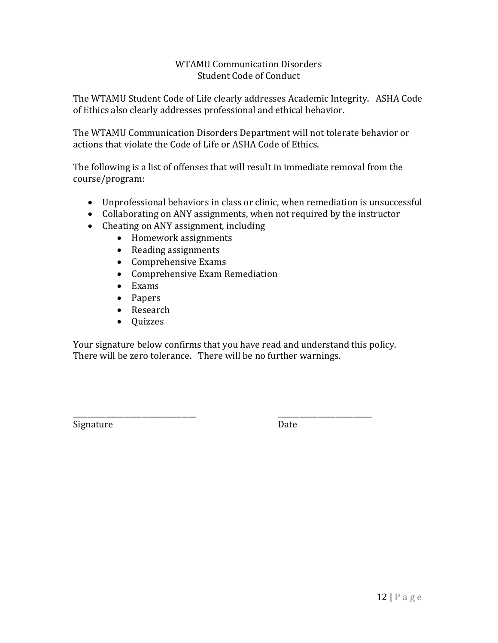#### WTAMU Communication Disorders Student Code of Conduct

The WTAMU Student Code of Life clearly addresses Academic Integrity. ASHA Code of Ethics also clearly addresses professional and ethical behavior.

The WTAMU Communication Disorders Department will not tolerate behavior or actions that violate the Code of Life or ASHA Code of Ethics.

The following is a list of offenses that will result in immediate removal from the course/program:

- Unprofessional behaviors in class or clinic, when remediation is unsuccessful
- Collaborating on ANY assignments, when not required by the instructor
- Cheating on ANY assignment, including
	- Homework assignments
	- Reading assignments
	- Comprehensive Exams
	- Comprehensive Exam Remediation
	- Exams
	- Papers
	- Research
	- Quizzes

Your signature below confirms that you have read and understand this policy. There will be zero tolerance. There will be no further warnings.

\_\_\_\_\_\_\_\_\_\_\_\_\_\_\_\_\_\_\_\_\_\_\_\_\_\_\_\_\_\_\_\_\_\_ \_\_\_\_\_\_\_\_\_\_\_\_\_\_\_\_\_\_\_\_\_\_\_\_\_\_ Signature Date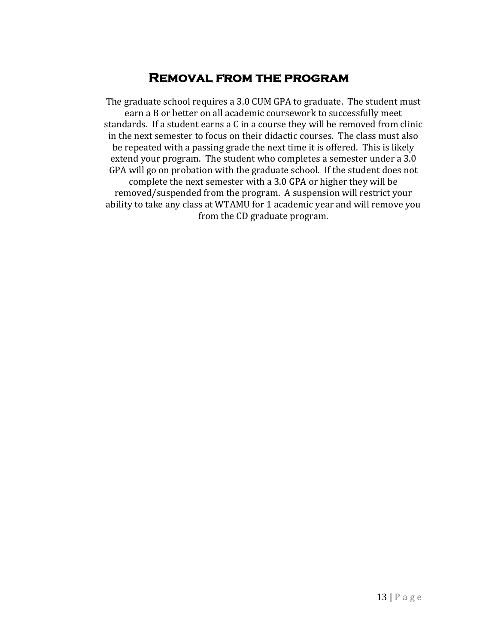## **Removal from the program**

The graduate school requires a 3.0 CUM GPA to graduate. The student must earn a B or better on all academic coursework to successfully meet standards. If a student earns a C in a course they will be removed from clinic in the next semester to focus on their didactic courses. The class must also be repeated with a passing grade the next time it is offered. This is likely extend your program. The student who completes a semester under a 3.0 GPA will go on probation with the graduate school. If the student does not complete the next semester with a 3.0 GPA or higher they will be removed/suspended from the program. A suspension will restrict your ability to take any class at WTAMU for 1 academic year and will remove you from the CD graduate program.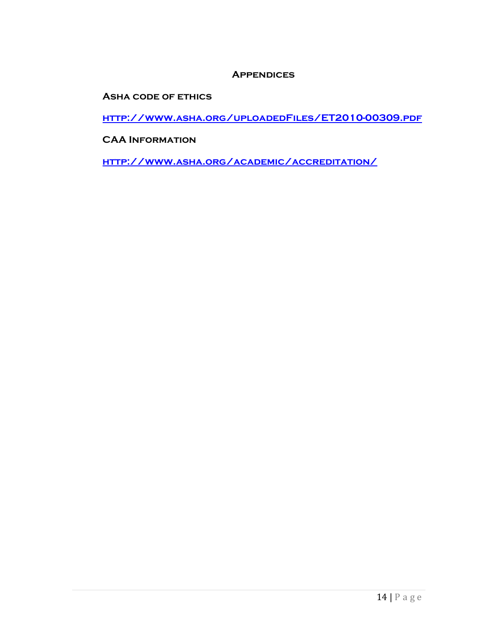#### **Appendices**

**Asha code of ethics**

**<http://www.asha.org/uploadedFiles/ET2010-00309.pdf>**

**CAA Information**

**<http://www.asha.org/academic/accreditation/>**